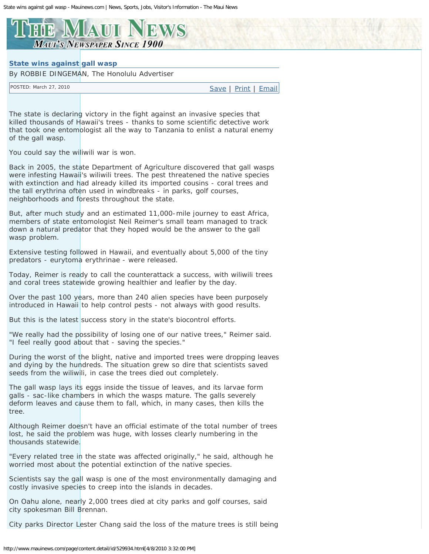## <span id="page-0-0"></span>E MIAUI NEWS **MAUI'S NEWSPAPER SINCE 1900**

## **State wins against gall wasp**

By ROBBIE DINGEMAN, The Honolulu Advertiser

POSTED: March 27, 2010 [Save](http://www.mauinews.com/?page=mscontent.saveContentMsg&showlayout=0&id=529934&nav=-1) | [Print](http://www.mauinews.com/page/content.detail/id/529934.html?showlayout=0) | [Email](#page-0-0)

The state is declaring victory in the fight against an invasive species that killed thousands of Hawaii's trees - thanks to some scientific detective work that took one entomologist all the way to Tanzania to enlist a natural enemy of the gall wasp.

You could say the wiliwili war is won.

Back in 2005, the state Department of Agriculture discovered that gall wasps were infesting Hawaii's wiliwili trees. The pest threatened the native species with extinction and had already killed its imported cousins - coral trees and the tall erythrina often used in windbreaks - in parks, golf courses, neighborhoods and forests throughout the state.

But, after much study and an estimated 11,000-mile journey to east Africa, members of state entomologist Neil Reimer's small team managed to track down a natural predator that they hoped would be the answer to the gall wasp problem.

Extensive testing followed in Hawaii, and eventually about 5,000 of the tiny predators - eurytoma erythrinae - were released.

Today, Reimer is ready to call the counterattack a success, with wiliwili trees and coral trees statewide growing healthier and leafier by the day.

Over the past 100 years, more than 240 alien species have been purposely introduced in Hawaii to help control pests - not always with good results.

But this is the latest success story in the state's biocontrol efforts.

"We really had the possibility of losing one of our native trees," Reimer said. "I feel really good about that - saving the species."

During the worst of the blight, native and imported trees were dropping leaves and dying by the hundreds. The situation grew so dire that scientists saved seeds from the wiliwili, in case the trees died out completely.

The gall wasp lays its eggs inside the tissue of leaves, and its larvae form galls - sac-like chambers in which the wasps mature. The galls severely deform leaves and cause them to fall, which, in many cases, then kills the tree.

Although Reimer doesn't have an official estimate of the total number of trees lost, he said the problem was huge, with losses clearly numbering in the thousands statewide.

"Every related tree in the state was affected originally," he said, although he worried most about the potential extinction of the native species.

Scientists say the gall wasp is one of the most environmentally damaging and costly invasive species to creep into the islands in decades.

On Oahu alone, nearly 2,000 trees died at city parks and golf courses, said city spokesman Bill Brennan.

City parks Director Lester Chang said the loss of the mature trees is still being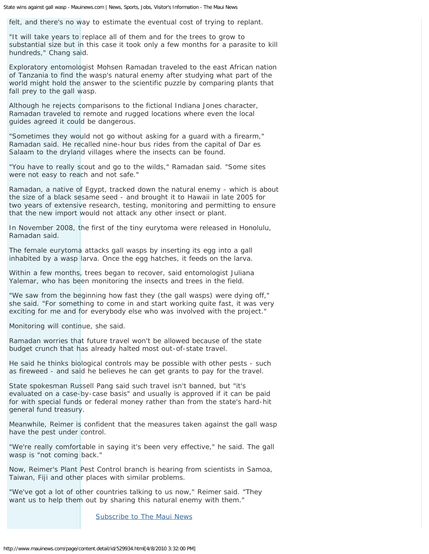State wins against gall wasp - Mauinews.com | News, Sports, Jobs, Visitor's Information - The Maui News

felt, and there's no way to estimate the eventual cost of trying to replant.

"It will take years to replace all of them and for the trees to grow to substantial size but in this case it took only a few months for a parasite to kill hundreds," Chang said.

Exploratory entomologist Mohsen Ramadan traveled to the east African nation of Tanzania to find the wasp's natural enemy after studying what part of the world might hold the answer to the scientific puzzle by comparing plants that fall prey to the gall wasp.

Although he rejects comparisons to the fictional Indiana Jones character, Ramadan traveled to remote and rugged locations where even the local guides agreed it could be dangerous.

"Sometimes they would not go without asking for a quard with a firearm," Ramadan said. He recalled nine-hour bus rides from the capital of Dar es Salaam to the dryland villages where the insects can be found.

"You have to really scout and go to the wilds," Ramadan said. "Some sites were not easy to reach and not safe."

Ramadan, a native of Egypt, tracked down the natural enemy - which is about the size of a black sesame seed - and brought it to Hawaii in late 2005 for two years of extensive research, testing, monitoring and permitting to ensure that the new import would not attack any other insect or plant.

In November 2008, the first of the tiny eurytoma were released in Honolulu, Ramadan said.

The female eurytoma attacks gall wasps by inserting its egg into a gall inhabited by a wasp larva. Once the egg hatches, it feeds on the larva.

Within a few months, trees began to recover, said entomologist Juliana Yalemar, who has been monitoring the insects and trees in the field.

"We saw from the beginning how fast they (the gall wasps) were dying off," she said. "For something to come in and start working quite fast, it was very exciting for me and for everybody else who was involved with the project."

Monitoring will continue, she said.

Ramadan worries that future travel won't be allowed because of the state budget crunch that has already halted most out-of-state travel.

He said he thinks biological controls may be possible with other pests - such as fireweed - and said he believes he can get grants to pay for the travel.

State spokesman Russell Pang said such travel isn't banned, but "it's evaluated on a case-by-case basis" and usually is approved if it can be paid for with special funds or federal money rather than from the state's hard-hit general fund treasury.

Meanwhile, Reimer is confident that the measures taken against the gall wasp have the pest under control.

"We're really comfortable in saying it's been very effective," he said. The gall wasp is "not coming back."

Now, Reimer's Plant Pest Control branch is hearing from scientists in Samoa, Taiwan, Fiji and other places with similar problems.

"We've got a lot of other countries talking to us now," Reimer said. "They want us to help them out by sharing this natural enemy with them."

[Subscribe to The Maui News](https://secure.oweb.net/onisubscriptions/subscriptions/subscriptions.asp?publicationID=110)